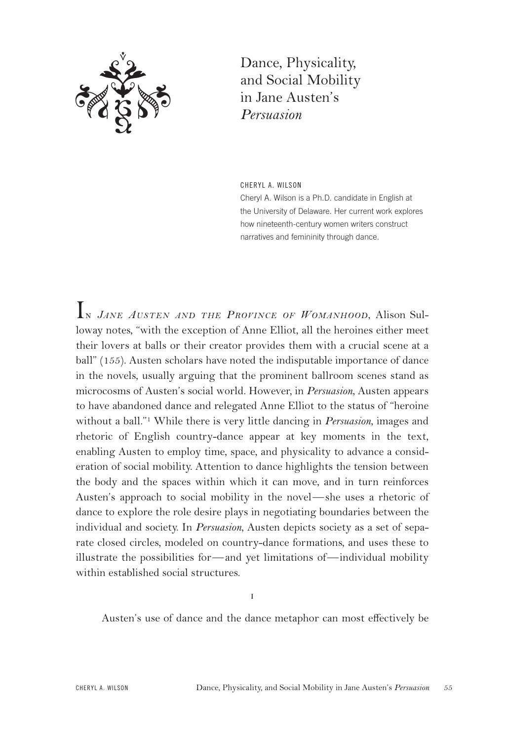

Dance, Physicality, and Social Mobility in Jane Austen's *Persuasion*

CHERYL A. WILSON Cheryl A. Wilson is a Ph.D. candidate in English at the University of Delaware. Her current work explores how nineteenth-century women writers construct

narratives and femininity through dance.

I<sup>n</sup>*JANE AUSTEN AND THE PROVINCE OF WOMANHOOD*, Alison Sulloway notes, "with the exception of Anne Elliot, all the heroines either meet their lovers at balls or their creator provides them with a crucial scene at a ball" (155). Austen scholars have noted the indisputable importance of dance in the novels, usually arguing that the prominent ballroom scenes stand as microcosms of Austen's social world. However, in *Persuasion*, Austen appears to have abandoned dance and relegated Anne Elliot to the status of "heroine without a ball."1 While there is very little dancing in *Persuasion*, images and rhetoric of English country-dance appear at key moments in the text, enabling Austen to employ time, space, and physicality to advance a consideration of social mobility. Attention to dance highlights the tension between the body and the spaces within which it can move, and in turn reinforces Austen's approach to social mobility in the novel—she uses a rhetoric of dance to explore the role desire plays in negotiating boundaries between the individual and society. In *Persuasion*, Austen depicts society as a set of separate closed circles, modeled on country-dance formations, and uses these to illustrate the possibilities for—and yet limitations of—individual mobility within established social structures.

i

Austen's use of dance and the dance metaphor can most effectively be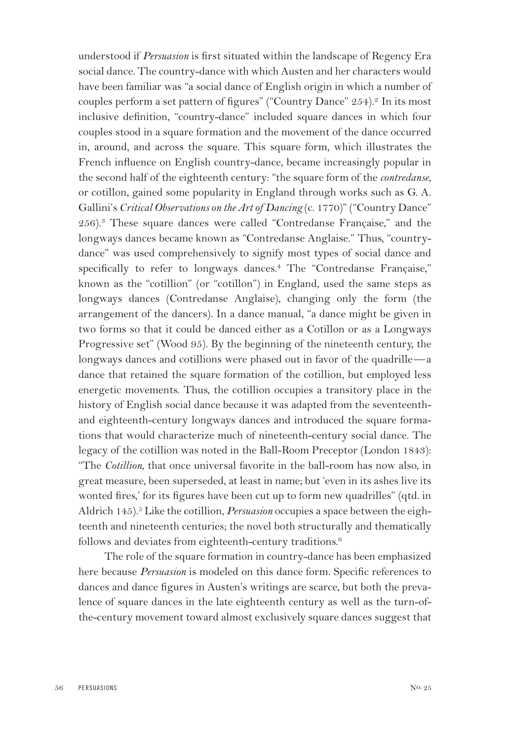understood if *Persuasion* is first situated within the landscape of Regency Era social dance. The country-dance with which Austen and her characters would have been familiar was "a social dance of English origin in which a number of couples perform a set pattern of figures" ("Country Dance" 254).2 In its most inclusive definition, "country-dance" included square dances in which four couples stood in a square formation and the movement of the dance occurred in, around, and across the square. This square form, which illustrates the French influence on English country-dance, became increasingly popular in the second half of the eighteenth century: "the square form of the *contredanse*, or cotillon, gained some popularity in England through works such as G. A. Gallini's *Critical Observations on the Art of Dancing* (c. 1770)" ("Country Dance" 256).3 These square dances were called "Contredanse Française," and the longways dances became known as "Contredanse Anglaise." Thus, "countrydance" was used comprehensively to signify most types of social dance and specifically to refer to longways dances.<sup>4</sup> The "Contredanse Française," known as the "cotillion" (or "cotillon") in England, used the same steps as longways dances (Contredanse Anglaise), changing only the form (the arrangement of the dancers). In a dance manual, "a dance might be given in two forms so that it could be danced either as a Cotillon or as a Longways Progressive set" (Wood 95). By the beginning of the nineteenth century, the longways dances and cotillions were phased out in favor of the quadrille—a dance that retained the square formation of the cotillion, but employed less energetic movements. Thus, the cotillion occupies a transitory place in the history of English social dance because it was adapted from the seventeenthand eighteenth-century longways dances and introduced the square formations that would characterize much of nineteenth-century social dance. The legacy of the cotillion was noted in the Ball-Room Preceptor (London 1843): "The *Cotillion*, that once universal favorite in the ball-room has now also, in great measure, been superseded, at least in name; but 'even in its ashes live its wonted fires,' for its figures have been cut up to form new quadrilles" (qtd. in Aldrich 145).<sup>5</sup> Like the cotillion, *Persuasion* occupies a space between the eighteenth and nineteenth centuries; the novel both structurally and thematically follows and deviates from eighteenth-century traditions.<sup>6</sup>

The role of the square formation in country-dance has been emphasized here because *Persuasion* is modeled on this dance form. Specific references to dances and dance figures in Austen's writings are scarce, but both the prevalence of square dances in the late eighteenth century as well as the turn-ofthe-century movement toward almost exclusively square dances suggest that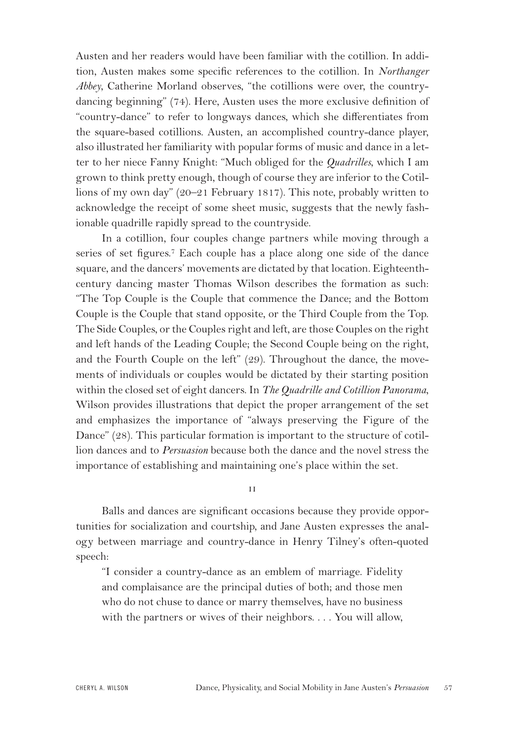Austen and her readers would have been familiar with the cotillion. In addition, Austen makes some specific references to the cotillion. In *Northanger Abbey*, Catherine Morland observes, "the cotillions were over, the countrydancing beginning" (74). Here, Austen uses the more exclusive definition of "country-dance" to refer to longways dances, which she differentiates from the square-based cotillions. Austen, an accomplished country-dance player, also illustrated her familiarity with popular forms of music and dance in a letter to her niece Fanny Knight: "Much obliged for the *Quadrilles*, which I am grown to think pretty enough, though of course they are inferior to the Cotillions of my own day" (20–21 February 1817). This note, probably written to acknowledge the receipt of some sheet music, suggests that the newly fashionable quadrille rapidly spread to the countryside.

In a cotillion, four couples change partners while moving through a series of set figures.<sup>7</sup> Each couple has a place along one side of the dance square, and the dancers' movements are dictated by that location. Eighteenthcentury dancing master Thomas Wilson describes the formation as such: "The Top Couple is the Couple that commence the Dance; and the Bottom Couple is the Couple that stand opposite, or the Third Couple from the Top. The Side Couples, or the Couples right and left, are those Couples on the right and left hands of the Leading Couple; the Second Couple being on the right, and the Fourth Couple on the left" (29). Throughout the dance, the movements of individuals or couples would be dictated by their starting position within the closed set of eight dancers. In *The Quadrille and Cotillion Panorama*, Wilson provides illustrations that depict the proper arrangement of the set and emphasizes the importance of "always preserving the Figure of the Dance" (28). This particular formation is important to the structure of cotillion dances and to *Persuasion* because both the dance and the novel stress the importance of establishing and maintaining one's place within the set*.*

ii

Balls and dances are significant occasions because they provide opportunities for socialization and courtship, and Jane Austen expresses the analogy between marriage and country-dance in Henry Tilney's often-quoted speech:

"I consider a country-dance as an emblem of marriage. Fidelity and complaisance are the principal duties of both; and those men who do not chuse to dance or marry themselves, have no business with the partners or wives of their neighbors. . . . You will allow,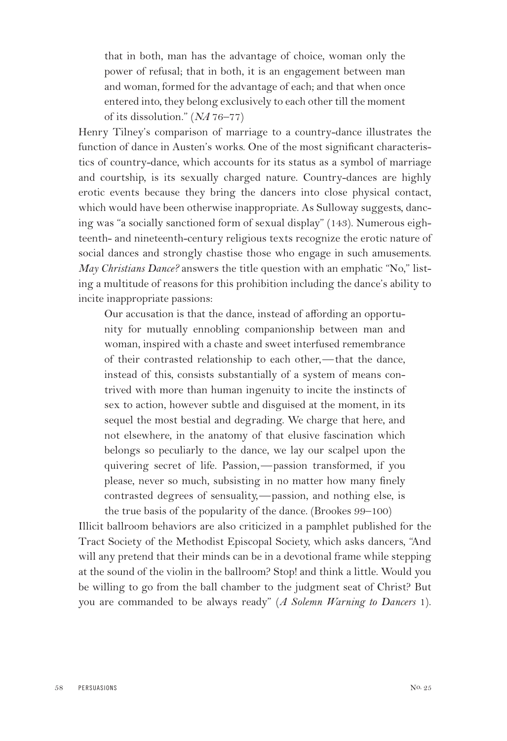that in both, man has the advantage of choice, woman only the power of refusal; that in both, it is an engagement between man and woman, formed for the advantage of each; and that when once entered into, they belong exclusively to each other till the moment of its dissolution." (*NA* 76–77)

Henry Tilney's comparison of marriage to a country-dance illustrates the function of dance in Austen's works. One of the most significant characteristics of country-dance, which accounts for its status as a symbol of marriage and courtship, is its sexually charged nature. Country-dances are highly erotic events because they bring the dancers into close physical contact, which would have been otherwise inappropriate. As Sulloway suggests, dancing was "a socially sanctioned form of sexual display" (143). Numerous eighteenth- and nineteenth-century religious texts recognize the erotic nature of social dances and strongly chastise those who engage in such amusements. *May Christians Dance?* answers the title question with an emphatic "No," listing a multitude of reasons for this prohibition including the dance's ability to incite inappropriate passions:

Our accusation is that the dance, instead of affording an opportunity for mutually ennobling companionship between man and woman, inspired with a chaste and sweet interfused remembrance of their contrasted relationship to each other,—that the dance, instead of this, consists substantially of a system of means contrived with more than human ingenuity to incite the instincts of sex to action, however subtle and disguised at the moment, in its sequel the most bestial and degrading. We charge that here, and not elsewhere, in the anatomy of that elusive fascination which belongs so peculiarly to the dance, we lay our scalpel upon the quivering secret of life. Passion,—passion transformed, if you please, never so much, subsisting in no matter how many finely contrasted degrees of sensuality,—passion, and nothing else, is the true basis of the popularity of the dance. (Brookes 99–100)

Illicit ballroom behaviors are also criticized in a pamphlet published for the Tract Society of the Methodist Episcopal Society, which asks dancers, "And will any pretend that their minds can be in a devotional frame while stepping at the sound of the violin in the ballroom? Stop! and think a little. Would you be willing to go from the ball chamber to the judgment seat of Christ? But you are commanded to be always ready" (*A Solemn Warning to Dancers* 1).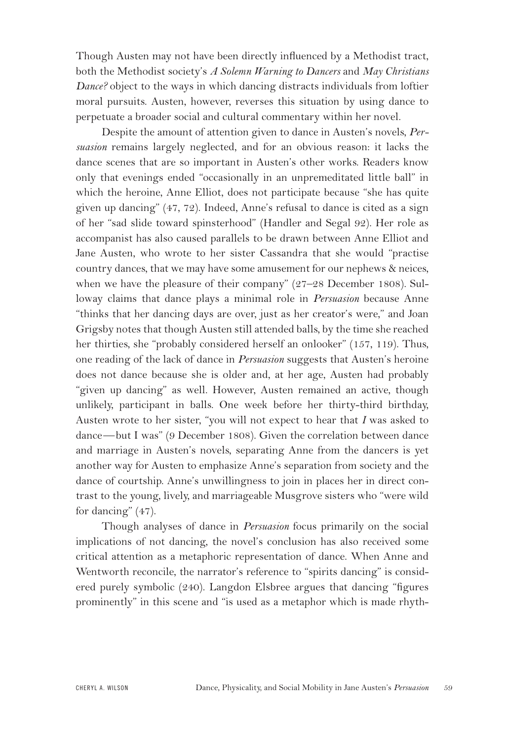Though Austen may not have been directly influenced by a Methodist tract, both the Methodist society's *A Solemn Warning to Dancers* and *May Christians Dance?* object to the ways in which dancing distracts individuals from loftier moral pursuits. Austen, however, reverses this situation by using dance to perpetuate a broader social and cultural commentary within her novel.

Despite the amount of attention given to dance in Austen's novels, *Persuasion* remains largely neglected, and for an obvious reason: it lacks the dance scenes that are so important in Austen's other works. Readers know only that evenings ended "occasionally in an unpremeditated little ball" in which the heroine, Anne Elliot, does not participate because "she has quite given up dancing" (47, 72). Indeed, Anne's refusal to dance is cited as a sign of her "sad slide toward spinsterhood" (Handler and Segal 92). Her role as accompanist has also caused parallels to be drawn between Anne Elliot and Jane Austen, who wrote to her sister Cassandra that she would "practise country dances, that we may have some amusement for our nephews & neices, when we have the pleasure of their company" (27–28 December 1808). Sulloway claims that dance plays a minimal role in *Persuasion* because Anne "thinks that her dancing days are over, just as her creator's were," and Joan Grigsby notes that though Austen still attended balls, by the time she reached her thirties, she "probably considered herself an onlooker" (157, 119). Thus, one reading of the lack of dance in *Persuasion* suggests that Austen's heroine does not dance because she is older and, at her age, Austen had probably "given up dancing" as well. However, Austen remained an active, though unlikely, participant in balls. One week before her thirty-third birthday, Austen wrote to her sister, "you will not expect to hear that *I* was asked to dance—but I was" (9 December 1808). Given the correlation between dance and marriage in Austen's novels, separating Anne from the dancers is yet another way for Austen to emphasize Anne's separation from society and the dance of courtship. Anne's unwillingness to join in places her in direct contrast to the young, lively, and marriageable Musgrove sisters who "were wild for dancing" (47).

Though analyses of dance in *Persuasion* focus primarily on the social implications of not dancing, the novel's conclusion has also received some critical attention as a metaphoric representation of dance. When Anne and Wentworth reconcile, the narrator's reference to "spirits dancing" is considered purely symbolic (240). Langdon Elsbree argues that dancing "figures prominently" in this scene and "is used as a metaphor which is made rhyth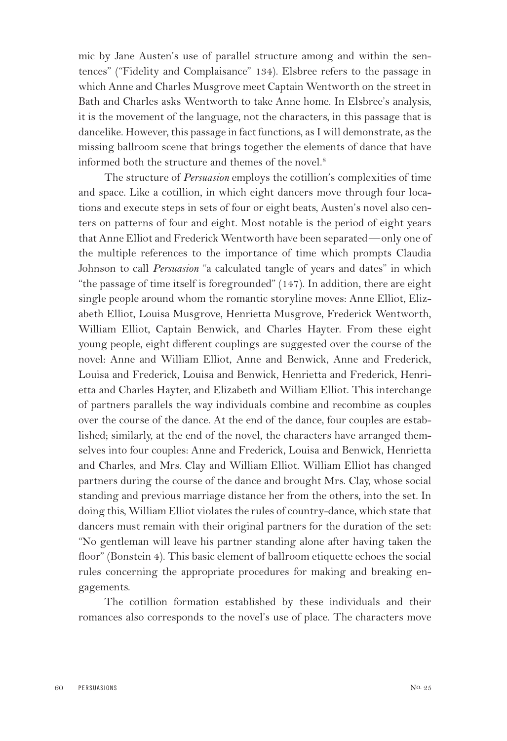mic by Jane Austen's use of parallel structure among and within the sentences" ("Fidelity and Complaisance" 134). Elsbree refers to the passage in which Anne and Charles Musgrove meet Captain Wentworth on the street in Bath and Charles asks Wentworth to take Anne home. In Elsbree's analysis, it is the movement of the language, not the characters, in this passage that is dancelike. However, this passage in fact functions, as I will demonstrate, as the missing ballroom scene that brings together the elements of dance that have informed both the structure and themes of the novel.8

The structure of *Persuasion* employs the cotillion's complexities of time and space. Like a cotillion, in which eight dancers move through four locations and execute steps in sets of four or eight beats, Austen's novel also centers on patterns of four and eight. Most notable is the period of eight years that Anne Elliot and Frederick Wentworth have been separated—only one of the multiple references to the importance of time which prompts Claudia Johnson to call *Persuasion* "a calculated tangle of years and dates" in which "the passage of time itself is foregrounded" (147). In addition, there are eight single people around whom the romantic storyline moves: Anne Elliot, Elizabeth Elliot, Louisa Musgrove, Henrietta Musgrove, Frederick Wentworth, William Elliot, Captain Benwick, and Charles Hayter. From these eight young people, eight different couplings are suggested over the course of the novel: Anne and William Elliot, Anne and Benwick, Anne and Frederick, Louisa and Frederick, Louisa and Benwick, Henrietta and Frederick, Henrietta and Charles Hayter, and Elizabeth and William Elliot. This interchange of partners parallels the way individuals combine and recombine as couples over the course of the dance. At the end of the dance, four couples are established; similarly, at the end of the novel, the characters have arranged themselves into four couples: Anne and Frederick, Louisa and Benwick, Henrietta and Charles, and Mrs. Clay and William Elliot. William Elliot has changed partners during the course of the dance and brought Mrs. Clay, whose social standing and previous marriage distance her from the others, into the set. In doing this, William Elliot violates the rules of country-dance, which state that dancers must remain with their original partners for the duration of the set: "No gentleman will leave his partner standing alone after having taken the floor" (Bonstein 4). This basic element of ballroom etiquette echoes the social rules concerning the appropriate procedures for making and breaking engagements.

The cotillion formation established by these individuals and their romances also corresponds to the novel's use of place. The characters move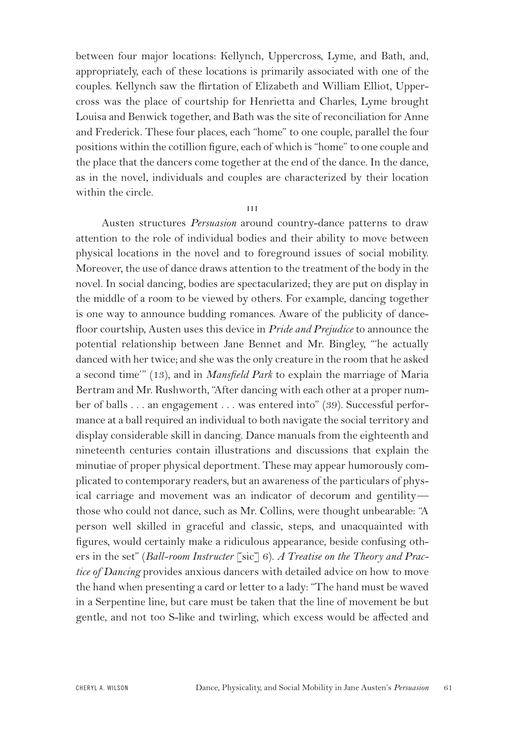between four major locations: Kellynch, Uppercross, Lyme, and Bath, and, appropriately, each of these locations is primarily associated with one of the couples. Kellynch saw the flirtation of Elizabeth and William Elliot, Uppercross was the place of courtship for Henrietta and Charles, Lyme brought Louisa and Benwick together, and Bath was the site of reconciliation for Anne and Frederick. These four places, each "home" to one couple, parallel the four positions within the cotillion figure, each of which is "home" to one couple and the place that the dancers come together at the end of the dance. In the dance, as in the novel, individuals and couples are characterized by their location within the circle.

iii

Austen structures *Persuasion* around country-dance patterns to draw attention to the role of individual bodies and their ability to move between physical locations in the novel and to foreground issues of social mobility. Moreover, the use of dance draws attention to the treatment of the body in the novel. In social dancing, bodies are spectacularized; they are put on display in the middle of a room to be viewed by others. For example, dancing together is one way to announce budding romances. Aware of the publicity of dancefloor courtship, Austen uses this device in *Pride and Prejudice* to announce the potential relationship between Jane Bennet and Mr. Bingley, "'he actually danced with her twice; and she was the only creature in the room that he asked a second time'" (13), and in *Mansfield Park* to explain the marriage of Maria Bertram and Mr. Rushworth, "After dancing with each other at a proper number of balls . . . an engagement . . . was entered into" (39). Successful performance at a ball required an individual to both navigate the social territory and display considerable skill in dancing. Dance manuals from the eighteenth and nineteenth centuries contain illustrations and discussions that explain the minutiae of proper physical deportment. These may appear humorously complicated to contemporary readers, but an awareness of the particulars of physical carriage and movement was an indicator of decorum and gentility those who could not dance, such as Mr. Collins, were thought unbearable: "A person well skilled in graceful and classic, steps, and unacquainted with figures, would certainly make a ridiculous appearance, beside confusing others in the set" (*Ball-room Instructer* [sic] 6). *A Treatise on the Theory and Practice of Dancing* provides anxious dancers with detailed advice on how to move the hand when presenting a card or letter to a lady: "The hand must be waved in a Serpentine line, but care must be taken that the line of movement be but gentle, and not too S-like and twirling, which excess would be affected and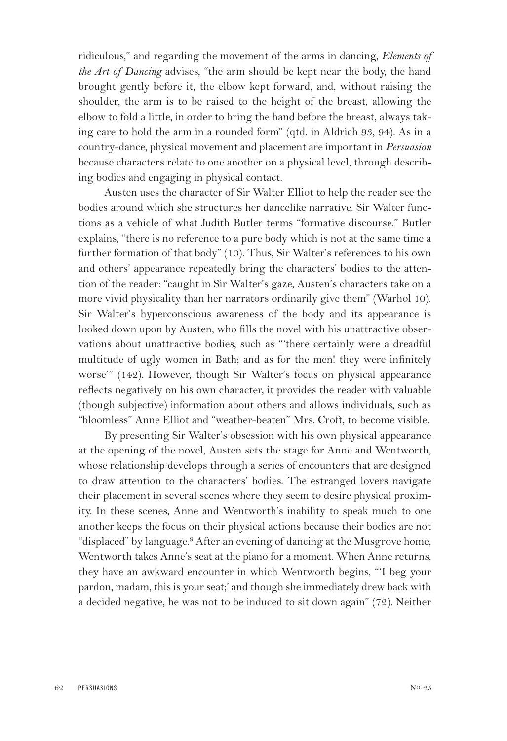ridiculous," and regarding the movement of the arms in dancing, *Elements of the Art of Dancing* advises, "the arm should be kept near the body, the hand brought gently before it, the elbow kept forward, and, without raising the shoulder, the arm is to be raised to the height of the breast, allowing the elbow to fold a little, in order to bring the hand before the breast, always taking care to hold the arm in a rounded form" (qtd. in Aldrich 93, 94). As in a country-dance, physical movement and placement are important in *Persuasion* because characters relate to one another on a physical level, through describing bodies and engaging in physical contact.

Austen uses the character of Sir Walter Elliot to help the reader see the bodies around which she structures her dancelike narrative. Sir Walter functions as a vehicle of what Judith Butler terms "formative discourse." Butler explains, "there is no reference to a pure body which is not at the same time a further formation of that body" (10). Thus, Sir Walter's references to his own and others' appearance repeatedly bring the characters' bodies to the attention of the reader: "caught in Sir Walter's gaze, Austen's characters take on a more vivid physicality than her narrators ordinarily give them" (Warhol 10). Sir Walter's hyperconscious awareness of the body and its appearance is looked down upon by Austen, who fills the novel with his unattractive observations about unattractive bodies, such as "'there certainly were a dreadful multitude of ugly women in Bath; and as for the men! they were infinitely worse'" (142). However, though Sir Walter's focus on physical appearance reflects negatively on his own character, it provides the reader with valuable (though subjective) information about others and allows individuals, such as "bloomless" Anne Elliot and "weather-beaten" Mrs. Croft, to become visible.

By presenting Sir Walter's obsession with his own physical appearance at the opening of the novel, Austen sets the stage for Anne and Wentworth, whose relationship develops through a series of encounters that are designed to draw attention to the characters' bodies. The estranged lovers navigate their placement in several scenes where they seem to desire physical proximity. In these scenes, Anne and Wentworth's inability to speak much to one another keeps the focus on their physical actions because their bodies are not "displaced" by language.<sup>9</sup> After an evening of dancing at the Musgrove home, Wentworth takes Anne's seat at the piano for a moment. When Anne returns, they have an awkward encounter in which Wentworth begins, "'I beg your pardon, madam, this is your seat;' and though she immediately drew back with a decided negative, he was not to be induced to sit down again" (72). Neither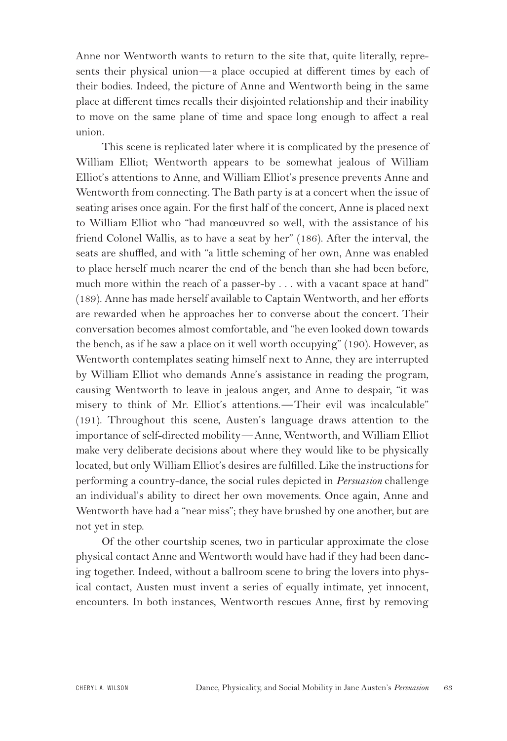Anne nor Wentworth wants to return to the site that, quite literally, represents their physical union—a place occupied at different times by each of their bodies. Indeed, the picture of Anne and Wentworth being in the same place at different times recalls their disjointed relationship and their inability to move on the same plane of time and space long enough to affect a real union.

This scene is replicated later where it is complicated by the presence of William Elliot; Wentworth appears to be somewhat jealous of William Elliot's attentions to Anne, and William Elliot's presence prevents Anne and Wentworth from connecting. The Bath party is at a concert when the issue of seating arises once again. For the first half of the concert, Anne is placed next to William Elliot who "had manœuvred so well, with the assistance of his friend Colonel Wallis, as to have a seat by her" (186). After the interval, the seats are shuffled, and with "a little scheming of her own, Anne was enabled to place herself much nearer the end of the bench than she had been before, much more within the reach of a passer-by . . . with a vacant space at hand" (189). Anne has made herself available to Captain Wentworth, and her efforts are rewarded when he approaches her to converse about the concert. Their conversation becomes almost comfortable, and "he even looked down towards the bench, as if he saw a place on it well worth occupying" (190). However, as Wentworth contemplates seating himself next to Anne, they are interrupted by William Elliot who demands Anne's assistance in reading the program, causing Wentworth to leave in jealous anger, and Anne to despair, "it was misery to think of Mr. Elliot's attentions.—Their evil was incalculable" (191). Throughout this scene, Austen's language draws attention to the importance of self-directed mobility—Anne, Wentworth, and William Elliot make very deliberate decisions about where they would like to be physically located, but only William Elliot's desires are fulfilled. Like the instructions for performing a country-dance, the social rules depicted in *Persuasion* challenge an individual's ability to direct her own movements. Once again, Anne and Wentworth have had a "near miss"; they have brushed by one another, but are not yet in step.

Of the other courtship scenes, two in particular approximate the close physical contact Anne and Wentworth would have had if they had been dancing together. Indeed, without a ballroom scene to bring the lovers into physical contact, Austen must invent a series of equally intimate, yet innocent, encounters. In both instances, Wentworth rescues Anne, first by removing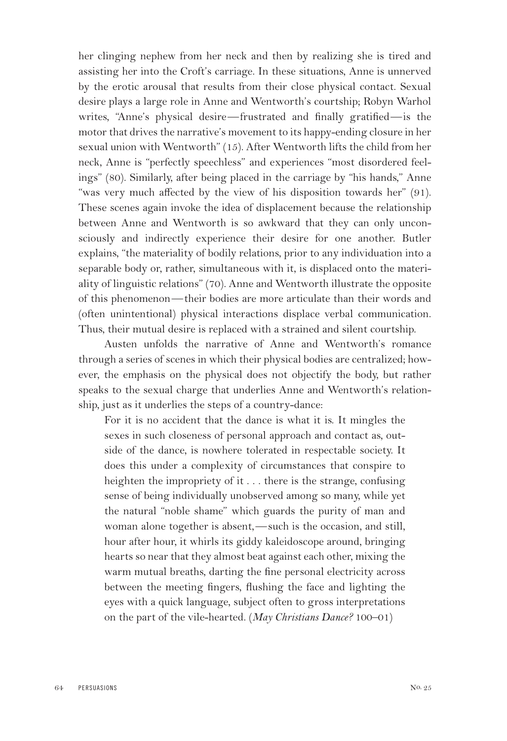her clinging nephew from her neck and then by realizing she is tired and assisting her into the Croft's carriage. In these situations, Anne is unnerved by the erotic arousal that results from their close physical contact. Sexual desire plays a large role in Anne and Wentworth's courtship; Robyn Warhol writes, "Anne's physical desire—frustrated and finally gratified—is the motor that drives the narrative's movement to its happy-ending closure in her sexual union with Wentworth" (15). After Wentworth lifts the child from her neck, Anne is "perfectly speechless" and experiences "most disordered feelings" (80). Similarly, after being placed in the carriage by "his hands," Anne "was very much affected by the view of his disposition towards her" (91). These scenes again invoke the idea of displacement because the relationship between Anne and Wentworth is so awkward that they can only unconsciously and indirectly experience their desire for one another. Butler explains, "the materiality of bodily relations, prior to any individuation into a separable body or, rather, simultaneous with it, is displaced onto the materiality of linguistic relations" (70). Anne and Wentworth illustrate the opposite of this phenomenon—their bodies are more articulate than their words and (often unintentional) physical interactions displace verbal communication. Thus, their mutual desire is replaced with a strained and silent courtship.

Austen unfolds the narrative of Anne and Wentworth's romance through a series of scenes in which their physical bodies are centralized; however, the emphasis on the physical does not objectify the body, but rather speaks to the sexual charge that underlies Anne and Wentworth's relationship, just as it underlies the steps of a country-dance:

For it is no accident that the dance is what it is. It mingles the sexes in such closeness of personal approach and contact as, outside of the dance, is nowhere tolerated in respectable society. It does this under a complexity of circumstances that conspire to heighten the impropriety of it . . . there is the strange, confusing sense of being individually unobserved among so many, while yet the natural "noble shame" which guards the purity of man and woman alone together is absent,—such is the occasion, and still, hour after hour, it whirls its giddy kaleidoscope around, bringing hearts so near that they almost beat against each other, mixing the warm mutual breaths, darting the fine personal electricity across between the meeting fingers, flushing the face and lighting the eyes with a quick language, subject often to gross interpretations on the part of the vile-hearted. (*May Christians Dance?* 100–01)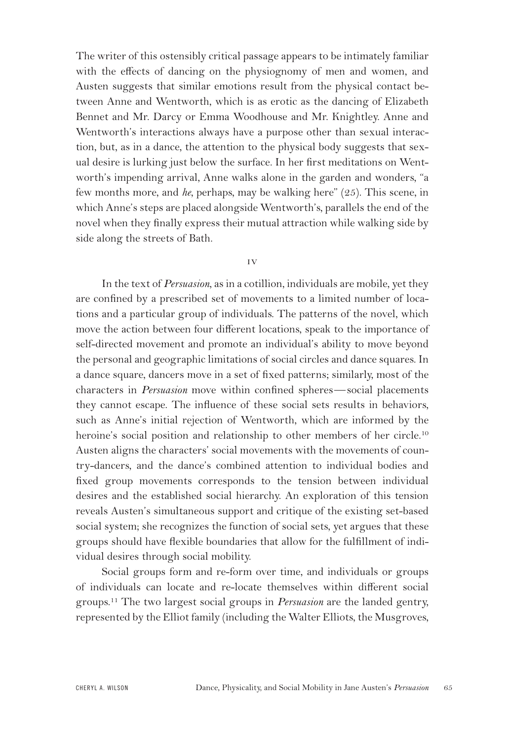The writer of this ostensibly critical passage appears to be intimately familiar with the effects of dancing on the physiognomy of men and women, and Austen suggests that similar emotions result from the physical contact between Anne and Wentworth, which is as erotic as the dancing of Elizabeth Bennet and Mr. Darcy or Emma Woodhouse and Mr. Knightley. Anne and Wentworth's interactions always have a purpose other than sexual interaction, but, as in a dance, the attention to the physical body suggests that sexual desire is lurking just below the surface. In her first meditations on Wentworth's impending arrival, Anne walks alone in the garden and wonders, "a few months more, and *he*, perhaps, may be walking here" (25). This scene, in which Anne's steps are placed alongside Wentworth's, parallels the end of the novel when they finally express their mutual attraction while walking side by side along the streets of Bath.

iv

In the text of *Persuasion*, as in a cotillion, individuals are mobile, yet they are confined by a prescribed set of movements to a limited number of locations and a particular group of individuals. The patterns of the novel, which move the action between four different locations, speak to the importance of self-directed movement and promote an individual's ability to move beyond the personal and geographic limitations of social circles and dance squares. In a dance square, dancers move in a set of fixed patterns; similarly, most of the characters in *Persuasion* move within confined spheres—social placements they cannot escape. The influence of these social sets results in behaviors, such as Anne's initial rejection of Wentworth, which are informed by the heroine's social position and relationship to other members of her circle.<sup>10</sup> Austen aligns the characters' social movements with the movements of country-dancers, and the dance's combined attention to individual bodies and fixed group movements corresponds to the tension between individual desires and the established social hierarchy. An exploration of this tension reveals Austen's simultaneous support and critique of the existing set-based social system; she recognizes the function of social sets, yet argues that these groups should have flexible boundaries that allow for the fulfillment of individual desires through social mobility.

Social groups form and re-form over time, and individuals or groups of individuals can locate and re-locate themselves within different social groups.11 The two largest social groups in *Persuasion* are the landed gentry, represented by the Elliot family (including the Walter Elliots, the Musgroves,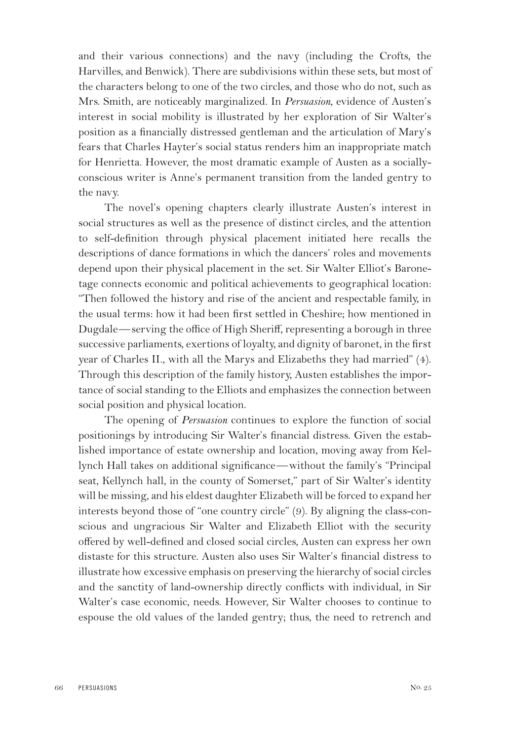and their various connections) and the navy (including the Crofts, the Harvilles, and Benwick). There are subdivisions within these sets, but most of the characters belong to one of the two circles, and those who do not, such as Mrs. Smith, are noticeably marginalized. In *Persuasion*, evidence of Austen's interest in social mobility is illustrated by her exploration of Sir Walter's position as a financially distressed gentleman and the articulation of Mary's fears that Charles Hayter's social status renders him an inappropriate match for Henrietta. However, the most dramatic example of Austen as a sociallyconscious writer is Anne's permanent transition from the landed gentry to the navy.

The novel's opening chapters clearly illustrate Austen's interest in social structures as well as the presence of distinct circles, and the attention to self-definition through physical placement initiated here recalls the descriptions of dance formations in which the dancers' roles and movements depend upon their physical placement in the set. Sir Walter Elliot's Baronetage connects economic and political achievements to geographical location: "Then followed the history and rise of the ancient and respectable family, in the usual terms: how it had been first settled in Cheshire; how mentioned in Dugdale—serving the office of High Sheriff, representing a borough in three successive parliaments, exertions of loyalty, and dignity of baronet, in the first year of Charles II., with all the Marys and Elizabeths they had married" (4). Through this description of the family history, Austen establishes the importance of social standing to the Elliots and emphasizes the connection between social position and physical location.

The opening of *Persuasion* continues to explore the function of social positionings by introducing Sir Walter's financial distress. Given the established importance of estate ownership and location, moving away from Kellynch Hall takes on additional significance—without the family's "Principal seat, Kellynch hall, in the county of Somerset," part of Sir Walter's identity will be missing, and his eldest daughter Elizabeth will be forced to expand her interests beyond those of "one country circle" (9). By aligning the class-conscious and ungracious Sir Walter and Elizabeth Elliot with the security offered by well-defined and closed social circles, Austen can express her own distaste for this structure. Austen also uses Sir Walter's financial distress to illustrate how excessive emphasis on preserving the hierarchy of social circles and the sanctity of land-ownership directly conflicts with individual, in Sir Walter's case economic, needs. However, Sir Walter chooses to continue to espouse the old values of the landed gentry; thus, the need to retrench and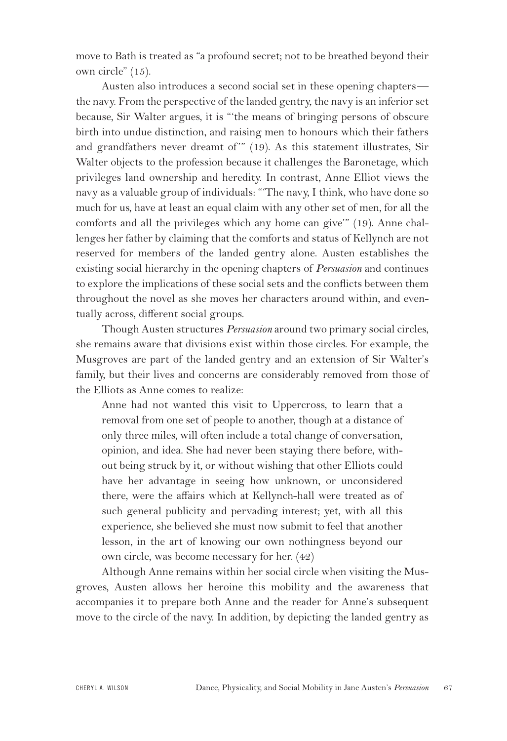move to Bath is treated as "a profound secret; not to be breathed beyond their own circle" (15).

Austen also introduces a second social set in these opening chapters the navy. From the perspective of the landed gentry, the navy is an inferior set because, Sir Walter argues, it is "'the means of bringing persons of obscure birth into undue distinction, and raising men to honours which their fathers and grandfathers never dreamt of" (19). As this statement illustrates, Sir Walter objects to the profession because it challenges the Baronetage, which privileges land ownership and heredity. In contrast, Anne Elliot views the navy as a valuable group of individuals: "'The navy, I think, who have done so much for us, have at least an equal claim with any other set of men, for all the comforts and all the privileges which any home can give'" (19). Anne challenges her father by claiming that the comforts and status of Kellynch are not reserved for members of the landed gentry alone. Austen establishes the existing social hierarchy in the opening chapters of *Persuasion* and continues to explore the implications of these social sets and the conflicts between them throughout the novel as she moves her characters around within, and eventually across, different social groups.

Though Austen structures *Persuasion* around two primary social circles, she remains aware that divisions exist within those circles. For example, the Musgroves are part of the landed gentry and an extension of Sir Walter's family, but their lives and concerns are considerably removed from those of the Elliots as Anne comes to realize:

Anne had not wanted this visit to Uppercross, to learn that a removal from one set of people to another, though at a distance of only three miles, will often include a total change of conversation, opinion, and idea. She had never been staying there before, without being struck by it, or without wishing that other Elliots could have her advantage in seeing how unknown, or unconsidered there, were the affairs which at Kellynch-hall were treated as of such general publicity and pervading interest; yet, with all this experience, she believed she must now submit to feel that another lesson, in the art of knowing our own nothingness beyond our own circle, was become necessary for her. (42)

Although Anne remains within her social circle when visiting the Musgroves, Austen allows her heroine this mobility and the awareness that accompanies it to prepare both Anne and the reader for Anne's subsequent move to the circle of the navy. In addition, by depicting the landed gentry as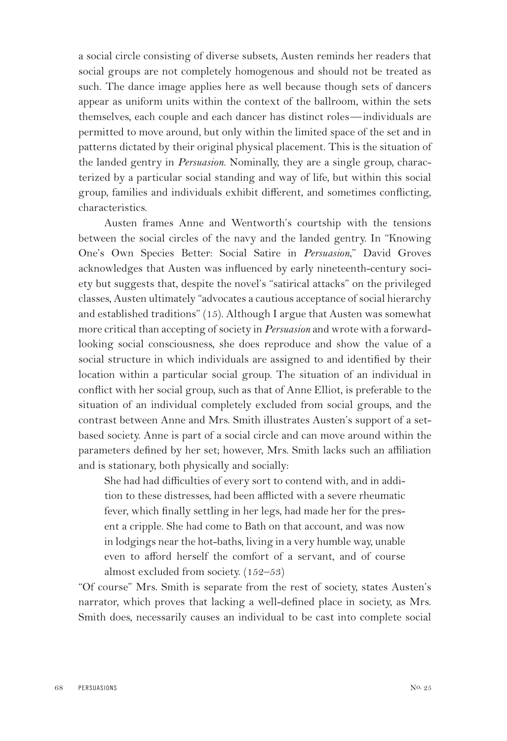a social circle consisting of diverse subsets, Austen reminds her readers that social groups are not completely homogenous and should not be treated as such. The dance image applies here as well because though sets of dancers appear as uniform units within the context of the ballroom, within the sets themselves, each couple and each dancer has distinct roles—individuals are permitted to move around, but only within the limited space of the set and in patterns dictated by their original physical placement. This is the situation of the landed gentry in *Persuasion*. Nominally, they are a single group, characterized by a particular social standing and way of life, but within this social group, families and individuals exhibit different, and sometimes conflicting, characteristics.

Austen frames Anne and Wentworth's courtship with the tensions between the social circles of the navy and the landed gentry. In "Knowing One's Own Species Better: Social Satire in *Persuasion*," David Groves acknowledges that Austen was influenced by early nineteenth-century society but suggests that, despite the novel's "satirical attacks" on the privileged classes, Austen ultimately "advocates a cautious acceptance of social hierarchy and established traditions" (15). Although I argue that Austen was somewhat more critical than accepting of society in *Persuasion* and wrote with a forwardlooking social consciousness, she does reproduce and show the value of a social structure in which individuals are assigned to and identified by their location within a particular social group. The situation of an individual in conflict with her social group, such as that of Anne Elliot, is preferable to the situation of an individual completely excluded from social groups, and the contrast between Anne and Mrs. Smith illustrates Austen's support of a setbased society. Anne is part of a social circle and can move around within the parameters defined by her set; however, Mrs. Smith lacks such an affiliation and is stationary, both physically and socially:

She had had difficulties of every sort to contend with, and in addition to these distresses, had been afflicted with a severe rheumatic fever, which finally settling in her legs, had made her for the present a cripple. She had come to Bath on that account, and was now in lodgings near the hot-baths, living in a very humble way, unable even to afford herself the comfort of a servant, and of course almost excluded from society. (152–53)

"Of course" Mrs. Smith is separate from the rest of society, states Austen's narrator, which proves that lacking a well-defined place in society, as Mrs. Smith does, necessarily causes an individual to be cast into complete social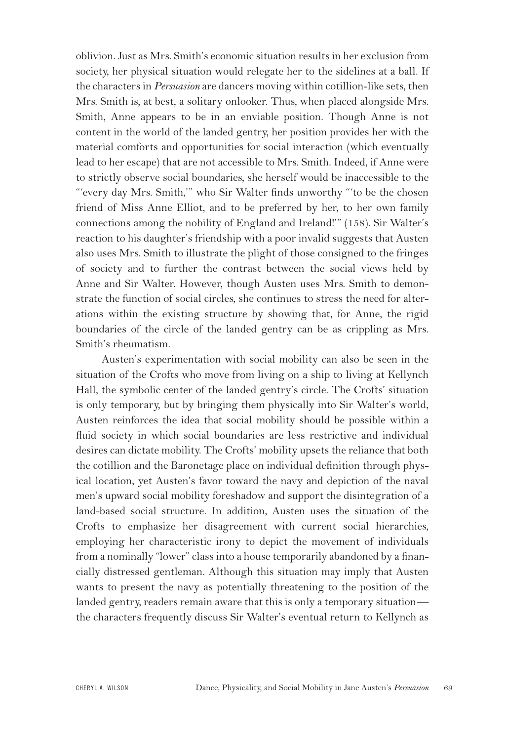oblivion. Just as Mrs. Smith's economic situation results in her exclusion from society, her physical situation would relegate her to the sidelines at a ball. If the characters in *Persuasion* are dancers moving within cotillion-like sets, then Mrs. Smith is, at best, a solitary onlooker. Thus, when placed alongside Mrs. Smith, Anne appears to be in an enviable position. Though Anne is not content in the world of the landed gentry, her position provides her with the material comforts and opportunities for social interaction (which eventually lead to her escape) that are not accessible to Mrs. Smith. Indeed, if Anne were to strictly observe social boundaries, she herself would be inaccessible to the "'every day Mrs. Smith,'" who Sir Walter finds unworthy "'to be the chosen friend of Miss Anne Elliot, and to be preferred by her, to her own family connections among the nobility of England and Ireland!'" (158). Sir Walter's reaction to his daughter's friendship with a poor invalid suggests that Austen also uses Mrs. Smith to illustrate the plight of those consigned to the fringes of society and to further the contrast between the social views held by Anne and Sir Walter. However, though Austen uses Mrs. Smith to demonstrate the function of social circles, she continues to stress the need for alterations within the existing structure by showing that, for Anne, the rigid boundaries of the circle of the landed gentry can be as crippling as Mrs. Smith's rheumatism.

Austen's experimentation with social mobility can also be seen in the situation of the Crofts who move from living on a ship to living at Kellynch Hall, the symbolic center of the landed gentry's circle. The Crofts' situation is only temporary, but by bringing them physically into Sir Walter's world, Austen reinforces the idea that social mobility should be possible within a fluid society in which social boundaries are less restrictive and individual desires can dictate mobility. The Crofts' mobility upsets the reliance that both the cotillion and the Baronetage place on individual definition through physical location, yet Austen's favor toward the navy and depiction of the naval men's upward social mobility foreshadow and support the disintegration of a land-based social structure. In addition, Austen uses the situation of the Crofts to emphasize her disagreement with current social hierarchies, employing her characteristic irony to depict the movement of individuals from a nominally "lower" class into a house temporarily abandoned by a financially distressed gentleman. Although this situation may imply that Austen wants to present the navy as potentially threatening to the position of the landed gentry, readers remain aware that this is only a temporary situation the characters frequently discuss Sir Walter's eventual return to Kellynch as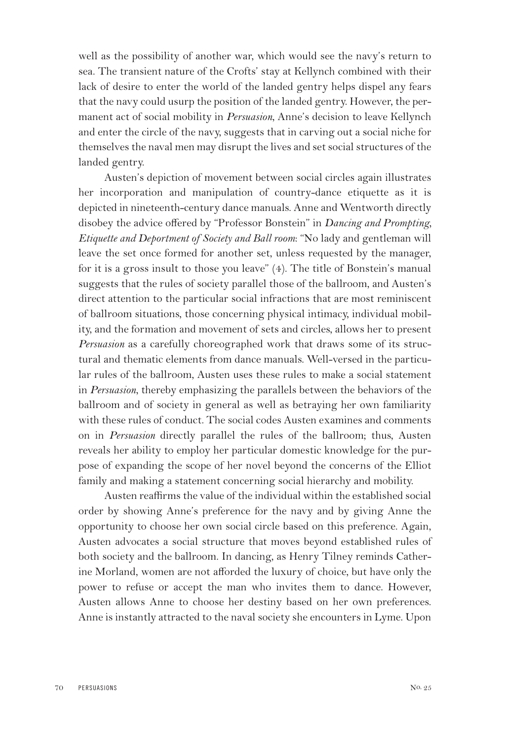well as the possibility of another war, which would see the navy's return to sea. The transient nature of the Crofts' stay at Kellynch combined with their lack of desire to enter the world of the landed gentry helps dispel any fears that the navy could usurp the position of the landed gentry. However, the permanent act of social mobility in *Persuasion*, Anne's decision to leave Kellynch and enter the circle of the navy, suggests that in carving out a social niche for themselves the naval men may disrupt the lives and set social structures of the landed gentry.

Austen's depiction of movement between social circles again illustrates her incorporation and manipulation of country-dance etiquette as it is depicted in nineteenth-century dance manuals. Anne and Wentworth directly disobey the advice offered by "Professor Bonstein" in *Dancing and Prompting, Etiquette and Deportment of Society and Ball room*: "No lady and gentleman will leave the set once formed for another set, unless requested by the manager, for it is a gross insult to those you leave" (4). The title of Bonstein's manual suggests that the rules of society parallel those of the ballroom, and Austen's direct attention to the particular social infractions that are most reminiscent of ballroom situations, those concerning physical intimacy, individual mobility, and the formation and movement of sets and circles, allows her to present *Persuasion* as a carefully choreographed work that draws some of its structural and thematic elements from dance manuals. Well-versed in the particular rules of the ballroom, Austen uses these rules to make a social statement in *Persuasion*, thereby emphasizing the parallels between the behaviors of the ballroom and of society in general as well as betraying her own familiarity with these rules of conduct. The social codes Austen examines and comments on in *Persuasion* directly parallel the rules of the ballroom; thus, Austen reveals her ability to employ her particular domestic knowledge for the purpose of expanding the scope of her novel beyond the concerns of the Elliot family and making a statement concerning social hierarchy and mobility.

Austen reaffirms the value of the individual within the established social order by showing Anne's preference for the navy and by giving Anne the opportunity to choose her own social circle based on this preference. Again, Austen advocates a social structure that moves beyond established rules of both society and the ballroom. In dancing, as Henry Tilney reminds Catherine Morland, women are not afforded the luxury of choice, but have only the power to refuse or accept the man who invites them to dance. However, Austen allows Anne to choose her destiny based on her own preferences. Anne is instantly attracted to the naval society she encounters in Lyme. Upon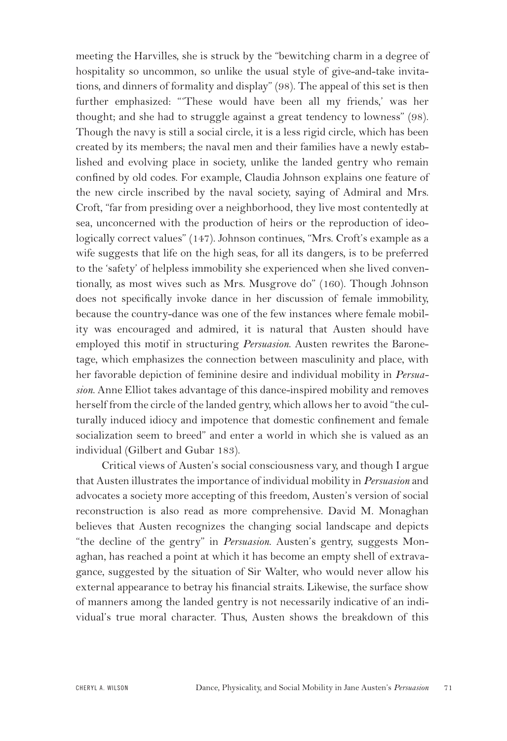meeting the Harvilles, she is struck by the "bewitching charm in a degree of hospitality so uncommon, so unlike the usual style of give-and-take invitations, and dinners of formality and display" (98). The appeal of this set is then further emphasized: "'These would have been all my friends,' was her thought; and she had to struggle against a great tendency to lowness" (98). Though the navy is still a social circle, it is a less rigid circle, which has been created by its members; the naval men and their families have a newly established and evolving place in society, unlike the landed gentry who remain confined by old codes. For example, Claudia Johnson explains one feature of the new circle inscribed by the naval society, saying of Admiral and Mrs. Croft, "far from presiding over a neighborhood, they live most contentedly at sea, unconcerned with the production of heirs or the reproduction of ideologically correct values" (147). Johnson continues, "Mrs. Croft's example as a wife suggests that life on the high seas, for all its dangers, is to be preferred to the 'safety' of helpless immobility she experienced when she lived conventionally, as most wives such as Mrs. Musgrove do" (160). Though Johnson does not specifically invoke dance in her discussion of female immobility, because the country-dance was one of the few instances where female mobility was encouraged and admired, it is natural that Austen should have employed this motif in structuring *Persuasion*. Austen rewrites the Baronetage, which emphasizes the connection between masculinity and place, with her favorable depiction of feminine desire and individual mobility in *Persuasion*. Anne Elliot takes advantage of this dance-inspired mobility and removes herself from the circle of the landed gentry, which allows her to avoid "the culturally induced idiocy and impotence that domestic confinement and female socialization seem to breed" and enter a world in which she is valued as an individual (Gilbert and Gubar 183).

Critical views of Austen's social consciousness vary, and though I argue that Austen illustrates the importance of individual mobility in *Persuasion* and advocates a society more accepting of this freedom, Austen's version of social reconstruction is also read as more comprehensive. David M. Monaghan believes that Austen recognizes the changing social landscape and depicts "the decline of the gentry" in *Persuasion*. Austen's gentry, suggests Monaghan, has reached a point at which it has become an empty shell of extravagance, suggested by the situation of Sir Walter, who would never allow his external appearance to betray his financial straits. Likewise, the surface show of manners among the landed gentry is not necessarily indicative of an individual's true moral character. Thus, Austen shows the breakdown of this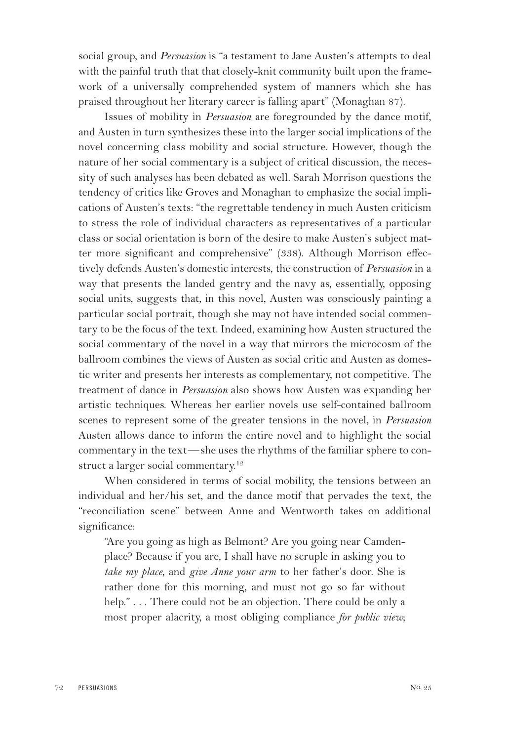social group, and *Persuasion* is "a testament to Jane Austen's attempts to deal with the painful truth that that closely-knit community built upon the framework of a universally comprehended system of manners which she has praised throughout her literary career is falling apart" (Monaghan 87).

Issues of mobility in *Persuasion* are foregrounded by the dance motif, and Austen in turn synthesizes these into the larger social implications of the novel concerning class mobility and social structure. However, though the nature of her social commentary is a subject of critical discussion, the necessity of such analyses has been debated as well. Sarah Morrison questions the tendency of critics like Groves and Monaghan to emphasize the social implications of Austen's texts: "the regrettable tendency in much Austen criticism to stress the role of individual characters as representatives of a particular class or social orientation is born of the desire to make Austen's subject matter more significant and comprehensive" (338). Although Morrison effectively defends Austen's domestic interests, the construction of *Persuasion* in a way that presents the landed gentry and the navy as, essentially, opposing social units, suggests that, in this novel, Austen was consciously painting a particular social portrait, though she may not have intended social commentary to be the focus of the text. Indeed, examining how Austen structured the social commentary of the novel in a way that mirrors the microcosm of the ballroom combines the views of Austen as social critic and Austen as domestic writer and presents her interests as complementary, not competitive. The treatment of dance in *Persuasion* also shows how Austen was expanding her artistic techniques. Whereas her earlier novels use self-contained ballroom scenes to represent some of the greater tensions in the novel, in *Persuasion* Austen allows dance to inform the entire novel and to highlight the social commentary in the text—she uses the rhythms of the familiar sphere to construct a larger social commentary.12

When considered in terms of social mobility, the tensions between an individual and her/his set, and the dance motif that pervades the text, the "reconciliation scene" between Anne and Wentworth takes on additional significance:

"Are you going as high as Belmont? Are you going near Camdenplace? Because if you are, I shall have no scruple in asking you to *take my place*, and *give Anne your arm* to her father's door. She is rather done for this morning, and must not go so far without help."... There could not be an objection. There could be only a most proper alacrity, a most obliging compliance *for public view*;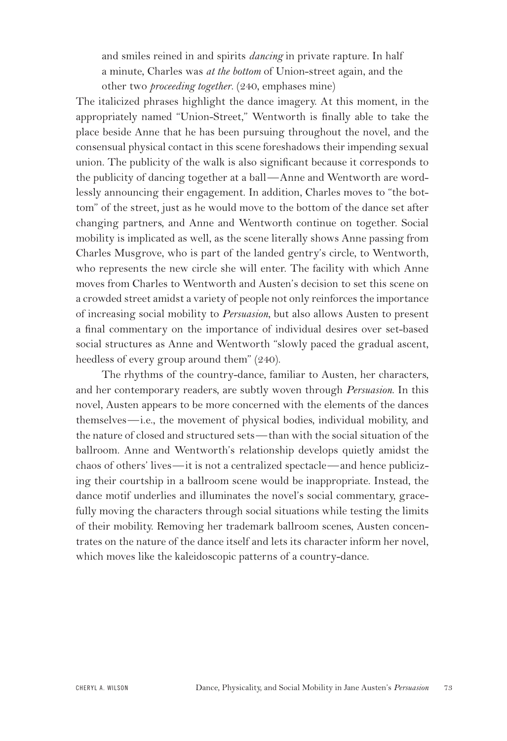and smiles reined in and spirits *dancing* in private rapture. In half a minute, Charles was *at the bottom* of Union-street again, and the other two *proceeding together*. (240, emphases mine)

The italicized phrases highlight the dance imagery. At this moment, in the appropriately named "Union-Street," Wentworth is finally able to take the place beside Anne that he has been pursuing throughout the novel, and the consensual physical contact in this scene foreshadows their impending sexual union. The publicity of the walk is also significant because it corresponds to the publicity of dancing together at a ball—Anne and Wentworth are wordlessly announcing their engagement. In addition, Charles moves to "the bottom" of the street, just as he would move to the bottom of the dance set after changing partners, and Anne and Wentworth continue on together. Social mobility is implicated as well, as the scene literally shows Anne passing from Charles Musgrove, who is part of the landed gentry's circle, to Wentworth, who represents the new circle she will enter. The facility with which Anne moves from Charles to Wentworth and Austen's decision to set this scene on a crowded street amidst a variety of people not only reinforces the importance of increasing social mobility to *Persuasion*, but also allows Austen to present a final commentary on the importance of individual desires over set-based social structures as Anne and Wentworth "slowly paced the gradual ascent, heedless of every group around them" (240).

The rhythms of the country-dance, familiar to Austen, her characters, and her contemporary readers, are subtly woven through *Persuasion*. In this novel, Austen appears to be more concerned with the elements of the dances themselves—i.e., the movement of physical bodies, individual mobility, and the nature of closed and structured sets—than with the social situation of the ballroom. Anne and Wentworth's relationship develops quietly amidst the chaos of others' lives—it is not a centralized spectacle—and hence publicizing their courtship in a ballroom scene would be inappropriate. Instead, the dance motif underlies and illuminates the novel's social commentary, gracefully moving the characters through social situations while testing the limits of their mobility. Removing her trademark ballroom scenes, Austen concentrates on the nature of the dance itself and lets its character inform her novel, which moves like the kaleidoscopic patterns of a country-dance.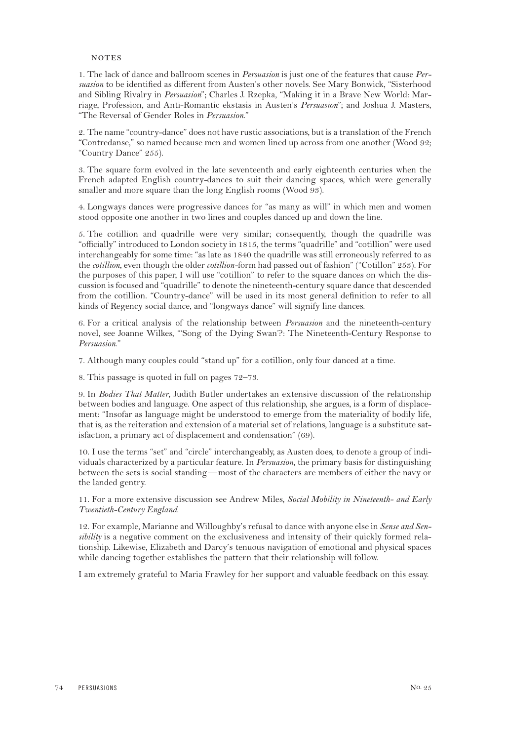## **NOTES**

1. The lack of dance and ballroom scenes in *Persuasion* is just one of the features that cause *Persuasion* to be identified as different from Austen's other novels. See Mary Bonwick, "Sisterhood and Sibling Rivalry in *Persuasion*"; Charles J. Rzepka, "Making it in a Brave New World: Marriage, Profession, and Anti-Romantic ekstasis in Austen's *Persuasion*"; and Joshua J. Masters, "The Reversal of Gender Roles in *Persuasion*."

2. The name "country-dance" does not have rustic associations, but is a translation of the French "Contredanse," so named because men and women lined up across from one another (Wood 92; "Country Dance" 255).

3. The square form evolved in the late seventeenth and early eighteenth centuries when the French adapted English country-dances to suit their dancing spaces, which were generally smaller and more square than the long English rooms (Wood 93).

4. Longways dances were progressive dances for "as many as will" in which men and women stood opposite one another in two lines and couples danced up and down the line.

5. The cotillion and quadrille were very similar; consequently, though the quadrille was "officially" introduced to London society in 1815, the terms "quadrille" and "cotillion" were used interchangeably for some time: "as late as 1840 the quadrille was still erroneously referred to as the *cotillion*, even though the older *cotillion-*form had passed out of fashion" ("Cotillon" 253). For the purposes of this paper, I will use "cotillion" to refer to the square dances on which the discussion is focused and "quadrille" to denote the nineteenth-century square dance that descended from the cotillion. "Country-dance" will be used in its most general definition to refer to all kinds of Regency social dance, and "longways dance" will signify line dances.

6. For a critical analysis of the relationship between *Persuasion* and the nineteenth-century novel, see Joanne Wilkes, "'Song of the Dying Swan'?: The Nineteenth-Century Response to *Persuasion*."

7. Although many couples could "stand up" for a cotillion, only four danced at a time.

8. This passage is quoted in full on pages 72–73.

9. In *Bodies That Matter*, Judith Butler undertakes an extensive discussion of the relationship between bodies and language. One aspect of this relationship, she argues, is a form of displacement: "Insofar as language might be understood to emerge from the materiality of bodily life, that is, as the reiteration and extension of a material set of relations, language is a substitute satisfaction, a primary act of displacement and condensation" (69).

10. I use the terms "set" and "circle" interchangeably, as Austen does, to denote a group of individuals characterized by a particular feature. In *Persuasion*, the primary basis for distinguishing between the sets is social standing—most of the characters are members of either the navy or the landed gentry.

11. For a more extensive discussion see Andrew Miles, *Social Mobility in Nineteenth- and Early Twentieth-Century England*.

12. For example, Marianne and Willoughby's refusal to dance with anyone else in *Sense and Sensibility* is a negative comment on the exclusiveness and intensity of their quickly formed relationship. Likewise, Elizabeth and Darcy's tenuous navigation of emotional and physical spaces while dancing together establishes the pattern that their relationship will follow.

I am extremely grateful to Maria Frawley for her support and valuable feedback on this essay.